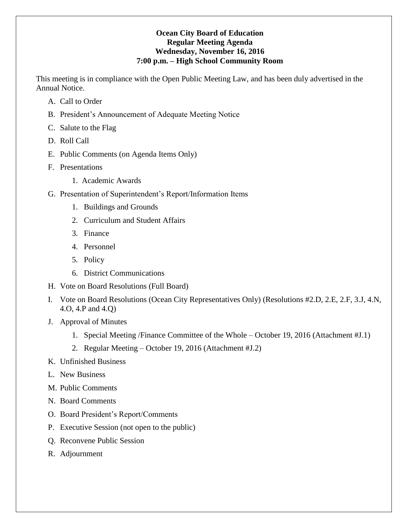### **Ocean City Board of Education Regular Meeting Agenda Wednesday, November 16, 2016 7:00 p.m. – High School Community Room**

This meeting is in compliance with the Open Public Meeting Law, and has been duly advertised in the Annual Notice.

- A. Call to Order
- B. President's Announcement of Adequate Meeting Notice
- C. Salute to the Flag
- D. Roll Call
- E. Public Comments (on Agenda Items Only)
- F. Presentations
	- 1. Academic Awards
- G. Presentation of Superintendent's Report/Information Items
	- 1. Buildings and Grounds
	- 2. Curriculum and Student Affairs
	- 3. Finance
	- 4. Personnel
	- 5. Policy
	- 6. District Communications
- H. Vote on Board Resolutions (Full Board)
- I. Vote on Board Resolutions (Ocean City Representatives Only) (Resolutions #2.D, 2.E, 2.F, 3.J, 4.N, 4.O, 4.P and 4.Q)
- J. Approval of Minutes
	- 1. Special Meeting /Finance Committee of the Whole October 19, 2016 (Attachment #J.1)
	- 2. Regular Meeting October 19, 2016 (Attachment #J.2)
- K. Unfinished Business
- L. New Business
- M. Public Comments
- N. Board Comments
- O. Board President's Report/Comments
- P. Executive Session (not open to the public)
- Q. Reconvene Public Session
- R. Adjournment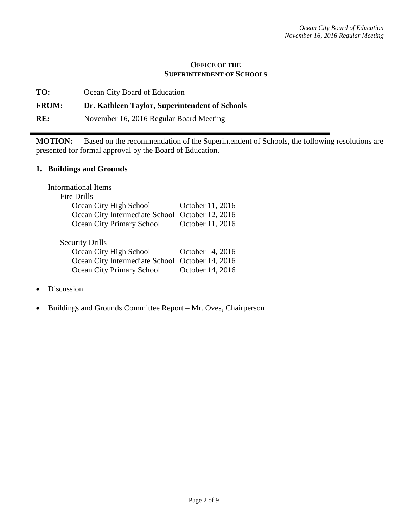### **OFFICE OF THE SUPERINTENDENT OF SCHOOLS**

**TO:** Ocean City Board of Education

# **FROM: Dr. Kathleen Taylor, Superintendent of Schools**

**RE:** November 16, 2016 Regular Board Meeting

**MOTION:** Based on the recommendation of the Superintendent of Schools, the following resolutions are presented for formal approval by the Board of Education.

### **1. Buildings and Grounds**

| <b>Informational Items</b>                      |                  |
|-------------------------------------------------|------------------|
| Fire Drills                                     |                  |
| Ocean City High School                          | October 11, 2016 |
| Ocean City Intermediate School                  | October 12, 2016 |
| Ocean City Primary School                       | October 11, 2016 |
|                                                 |                  |
| <b>Security Drills</b>                          |                  |
| Ocean City High School                          | October 4, 2016  |
| Ocean City Intermediate School October 14, 2016 |                  |
| Ocean City Primary School                       | October 14, 2016 |

- **Discussion**
- Buildings and Grounds Committee Report Mr. Oves, Chairperson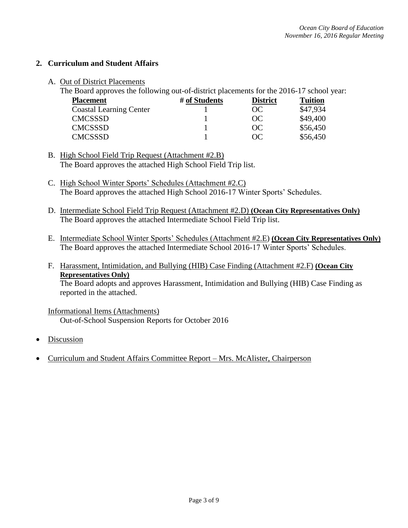## **2. Curriculum and Student Affairs**

A. Out of District Placements

The Board approves the following out-of-district placements for the 2016-17 school year:

| <b>Placement</b>               | # of Students | <b>District</b> | <b>Tuition</b> |
|--------------------------------|---------------|-----------------|----------------|
| <b>Coastal Learning Center</b> |               | OC.             | \$47,934       |
| <b>CMCSSSD</b>                 |               | OC              | \$49,400       |
| <b>CMCSSSD</b>                 |               | OC.             | \$56,450       |
| <b>CMCSSSD</b>                 |               | OC              | \$56,450       |

B. High School Field Trip Request (Attachment #2.B) The Board approves the attached High School Field Trip list.

- C. High School Winter Sports' Schedules (Attachment #2.C) The Board approves the attached High School 2016-17 Winter Sports' Schedules.
- D. Intermediate School Field Trip Request (Attachment #2.D) **(Ocean City Representatives Only)** The Board approves the attached Intermediate School Field Trip list.
- E. Intermediate School Winter Sports' Schedules (Attachment #2.E) **(Ocean City Representatives Only)** The Board approves the attached Intermediate School 2016-17 Winter Sports' Schedules.
- F. Harassment, Intimidation, and Bullying (HIB) Case Finding (Attachment #2.F) **(Ocean City Representatives Only)** The Board adopts and approves Harassment, Intimidation and Bullying (HIB) Case Finding as reported in the attached.

# Informational Items (Attachments)

Out-of-School Suspension Reports for October 2016

- Discussion
- Curriculum and Student Affairs Committee Report Mrs. McAlister, Chairperson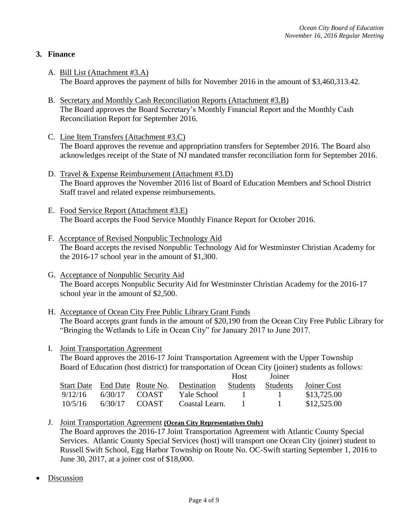# **3. Finance**

- A. Bill List (Attachment #3.A) The Board approves the payment of bills for November 2016 in the amount of \$3,460,313.42.
- B. Secretary and Monthly Cash Reconciliation Reports (Attachment #3.B) The Board approves the Board Secretary's Monthly Financial Report and the Monthly Cash Reconciliation Report for September 2016.
- C. Line Item Transfers (Attachment #3.C) The Board approves the revenue and appropriation transfers for September 2016. The Board also acknowledges receipt of the State of NJ mandated transfer reconciliation form for September 2016.
- D. Travel & Expense Reimbursement (Attachment #3.D) The Board approves the November 2016 list of Board of Education Members and School District Staff travel and related expense reimbursements.
- E. Food Service Report (Attachment #3.E) The Board accepts the Food Service Monthly Finance Report for October 2016.
- F. Acceptance of Revised Nonpublic Technology Aid The Board accepts the revised Nonpublic Technology Aid for Westminster Christian Academy for the 2016-17 school year in the amount of \$1,300.
- G. Acceptance of Nonpublic Security Aid The Board accepts Nonpublic Security Aid for Westminster Christian Academy for the 2016-17 school year in the amount of \$2,500.
- H. Acceptance of Ocean City Free Public Library Grant Funds The Board accepts grant funds in the amount of \$20,190 from the Ocean City Free Public Library for "Bringing the Wetlands to Life in Ocean City" for January 2017 to June 2017.
- I. Joint Transportation Agreement

The Board approves the 2016-17 Joint Transportation Agreement with the Upper Township Board of Education (host district) for transportation of Ocean City (joiner) students as follows:

|                   |         |                    |                | <b>Host</b>     | Joiner          |             |
|-------------------|---------|--------------------|----------------|-----------------|-----------------|-------------|
| <b>Start Date</b> |         | End Date Route No. | Destination    | <b>Students</b> | <b>Students</b> | Joiner Cost |
| 9/12/16           | 6/30/17 | <b>COAST</b>       | Yale School    |                 | $\mathbf{I}$    | \$13,725.00 |
| 10/5/16           | 6/30/17 | <b>COAST</b>       | Coastal Learn. |                 |                 | \$12,525.00 |

- J. Joint Transportation Agreement **(Ocean City Representatives Only)** The Board approves the 2016-17 Joint Transportation Agreement with Atlantic County Special Services. Atlantic County Special Services (host) will transport one Ocean City (joiner) student to Russell Swift School, Egg Harbor Township on Route No. OC-Swift starting September 1, 2016 to June 30, 2017, at a joiner cost of \$18,000.
- Discussion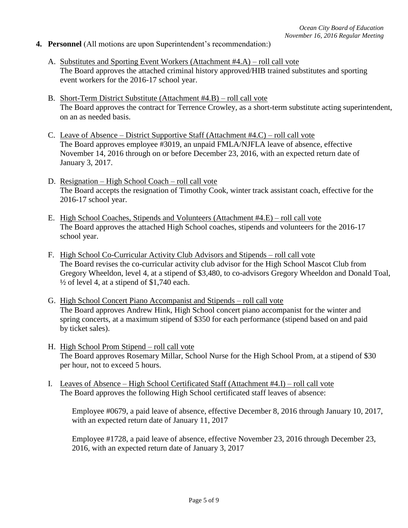### **4. Personnel** (All motions are upon Superintendent's recommendation:)

- A. Substitutes and Sporting Event Workers (Attachment #4.A) roll call vote The Board approves the attached criminal history approved/HIB trained substitutes and sporting event workers for the 2016-17 school year.
- B. Short-Term District Substitute (Attachment #4.B) roll call vote The Board approves the contract for Terrence Crowley, as a short-term substitute acting superintendent, on an as needed basis.
- C. Leave of Absence District Supportive Staff (Attachment #4.C) roll call vote The Board approves employee #3019, an unpaid FMLA/NJFLA leave of absence, effective November 14, 2016 through on or before December 23, 2016, with an expected return date of January 3, 2017.
- D. Resignation High School Coach roll call vote The Board accepts the resignation of Timothy Cook, winter track assistant coach, effective for the 2016-17 school year.
- E. High School Coaches, Stipends and Volunteers (Attachment #4.E) roll call vote The Board approves the attached High School coaches, stipends and volunteers for the 2016-17 school year.
- F. High School Co-Curricular Activity Club Advisors and Stipends roll call vote The Board revises the co-curricular activity club advisor for the High School Mascot Club from Gregory Wheeldon, level 4, at a stipend of \$3,480, to co-advisors Gregory Wheeldon and Donald Toal,  $\frac{1}{2}$  of level 4, at a stipend of \$1,740 each.
- G. High School Concert Piano Accompanist and Stipends roll call vote The Board approves Andrew Hink, High School concert piano accompanist for the winter and spring concerts, at a maximum stipend of \$350 for each performance (stipend based on and paid by ticket sales).
- H. High School Prom Stipend roll call vote The Board approves Rosemary Millar, School Nurse for the High School Prom, at a stipend of \$30 per hour, not to exceed 5 hours.
- I. Leaves of Absence High School Certificated Staff (Attachment #4.I) roll call vote The Board approves the following High School certificated staff leaves of absence:

Employee #0679, a paid leave of absence, effective December 8, 2016 through January 10, 2017, with an expected return date of January 11, 2017

Employee #1728, a paid leave of absence, effective November 23, 2016 through December 23, 2016, with an expected return date of January 3, 2017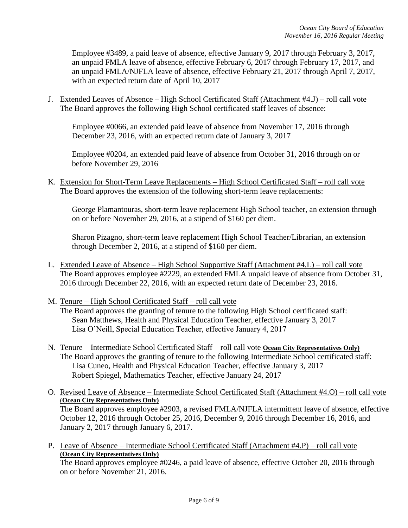Employee #3489, a paid leave of absence, effective January 9, 2017 through February 3, 2017, an unpaid FMLA leave of absence, effective February 6, 2017 through February 17, 2017, and an unpaid FMLA/NJFLA leave of absence, effective February 21, 2017 through April 7, 2017, with an expected return date of April 10, 2017

J. Extended Leaves of Absence – High School Certificated Staff (Attachment #4.J) – roll call vote The Board approves the following High School certificated staff leaves of absence:

Employee #0066, an extended paid leave of absence from November 17, 2016 through December 23, 2016, with an expected return date of January 3, 2017

Employee #0204, an extended paid leave of absence from October 31, 2016 through on or before November 29, 2016

K. Extension for Short-Term Leave Replacements – High School Certificated Staff – roll call vote The Board approves the extension of the following short-term leave replacements:

George Plamantouras, short-term leave replacement High School teacher, an extension through on or before November 29, 2016, at a stipend of \$160 per diem.

Sharon Pizagno, short-term leave replacement High School Teacher/Librarian, an extension through December 2, 2016, at a stipend of \$160 per diem.

- L. Extended Leave of Absence High School Supportive Staff (Attachment #4.L) roll call vote The Board approves employee #2229, an extended FMLA unpaid leave of absence from October 31, 2016 through December 22, 2016, with an expected return date of December 23, 2016.
- M. Tenure High School Certificated Staff roll call vote

The Board approves the granting of tenure to the following High School certificated staff: Sean Matthews, Health and Physical Education Teacher, effective January 3, 2017 Lisa O'Neill, Special Education Teacher, effective January 4, 2017

- N. Tenure Intermediate School Certificated Staff roll call vote **Ocean City Representatives Only)** The Board approves the granting of tenure to the following Intermediate School certificated staff: Lisa Cuneo, Health and Physical Education Teacher, effective January 3, 2017 Robert Spiegel, Mathematics Teacher, effective January 24, 2017
- O. Revised Leave of Absence Intermediate School Certificated Staff (Attachment #4.O) roll call vote (**Ocean City Representatives Only)** The Board approves employee #2903, a revised FMLA/NJFLA intermittent leave of absence, effective October 12, 2016 through October 25, 2016, December 9, 2016 through December 16, 2016, and January 2, 2017 through January 6, 2017.
- P. Leave of Absence Intermediate School Certificated Staff (Attachment #4.P) roll call vote **(Ocean City Representatives Only)**

The Board approves employee #0246, a paid leave of absence, effective October 20, 2016 through on or before November 21, 2016.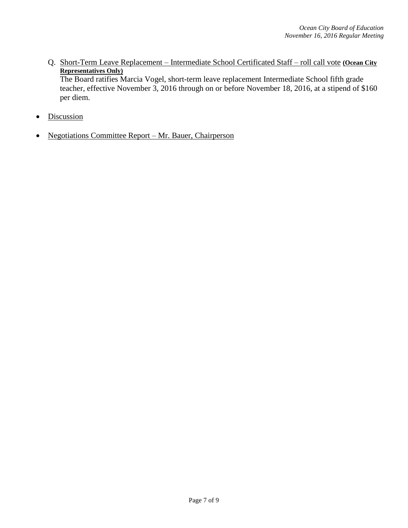Q. Short-Term Leave Replacement – Intermediate School Certificated Staff – roll call vote **(Ocean City Representatives Only)**

The Board ratifies Marcia Vogel, short-term leave replacement Intermediate School fifth grade teacher, effective November 3, 2016 through on or before November 18, 2016, at a stipend of \$160 per diem.

- Discussion
- Negotiations Committee Report Mr. Bauer, Chairperson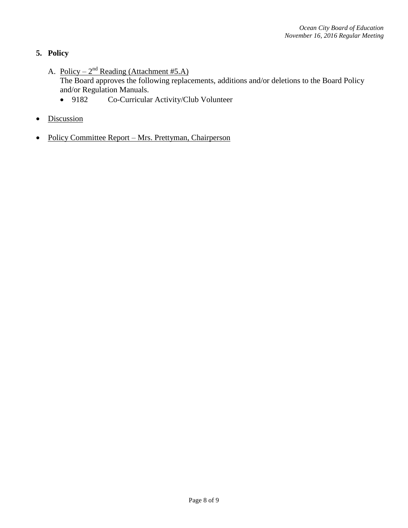# **5. Policy**

- A. Policy  $2^{nd}$  Reading (Attachment #5.A) The Board approves the following replacements, additions and/or deletions to the Board Policy and/or Regulation Manuals.
	- 9182 Co-Curricular Activity/Club Volunteer
- Discussion
- Policy Committee Report Mrs. Prettyman, Chairperson